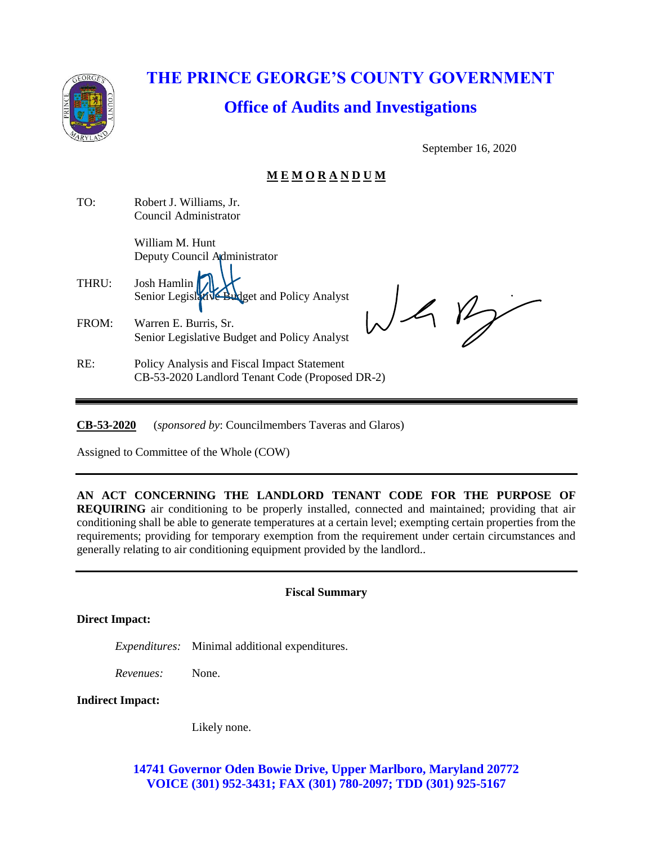

# **THE PRINCE GEORGE'S COUNTY GOVERNMENT Office of Audits and Investigations**

September 16, 2020

## **M E M O R A N D U M**

| TO:   | Robert J. Williams, Jr.<br>Council Administrator                                               |
|-------|------------------------------------------------------------------------------------------------|
|       | William M. Hunt<br>Deputy Council Administrator                                                |
| THRU: | Josh Hamlin<br>Senior Legislat Ve Budget and Policy Analyst                                    |
| FROM: | Warren E. Burris, Sr.<br>Senior Legislative Budget and Policy Analyst                          |
| RE:   | Policy Analysis and Fiscal Impact Statement<br>CB-53-2020 Landlord Tenant Code (Proposed DR-2) |

**CB-53-2020** (*sponsored by*: Councilmembers Taveras and Glaros)

Assigned to Committee of the Whole (COW)

**AN ACT CONCERNING THE LANDLORD TENANT CODE FOR THE PURPOSE OF REQUIRING** air conditioning to be properly installed, connected and maintained; providing that air conditioning shall be able to generate temperatures at a certain level; exempting certain properties from the requirements; providing for temporary exemption from the requirement under certain circumstances and generally relating to air conditioning equipment provided by the landlord..

**Direct Impact:**

*Expenditures:* Minimal additional expenditures.

*Revenues:* None.

#### **Indirect Impact:**

Likely none.

**14741 Governor Oden Bowie Drive, Upper Marlboro, Maryland 20772 VOICE (301) 952-3431; FAX (301) 780-2097; TDD (301) 925-5167**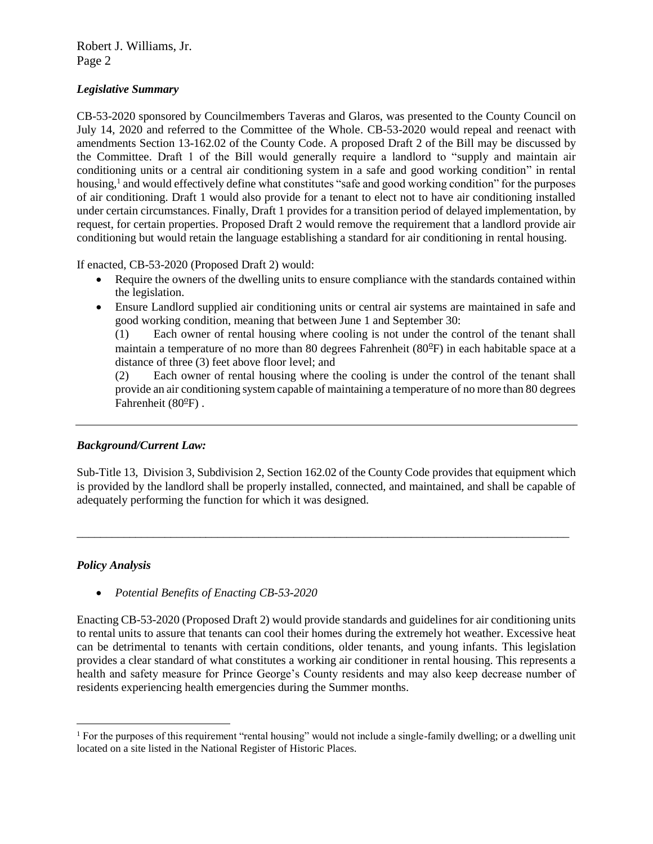#### Robert J. Williams, Jr. Page 2

#### *Legislative Summary*

CB-53-2020 sponsored by Councilmembers Taveras and Glaros, was presented to the County Council on July 14, 2020 and referred to the Committee of the Whole. CB-53-2020 would repeal and reenact with amendments Section 13-162.02 of the County Code. A proposed Draft 2 of the Bill may be discussed by the Committee. Draft 1 of the Bill would generally require a landlord to "supply and maintain air conditioning units or a central air conditioning system in a safe and good working condition" in rental housing,<sup>1</sup> and would effectively define what constitutes "safe and good working condition" for the purposes of air conditioning. Draft 1 would also provide for a tenant to elect not to have air conditioning installed under certain circumstances. Finally, Draft 1 provides for a transition period of delayed implementation, by request, for certain properties. Proposed Draft 2 would remove the requirement that a landlord provide air conditioning but would retain the language establishing a standard for air conditioning in rental housing.

If enacted, CB-53-2020 (Proposed Draft 2) would:

- Require the owners of the dwelling units to ensure compliance with the standards contained within the legislation.
- Ensure Landlord supplied air conditioning units or central air systems are maintained in safe and good working condition, meaning that between June 1 and September 30:

(1) Each owner of rental housing where cooling is not under the control of the tenant shall maintain a temperature of no more than 80 degrees Fahrenheit (80°F) in each habitable space at a distance of three (3) feet above floor level; and

(2) Each owner of rental housing where the cooling is under the control of the tenant shall provide an air conditioning system capable of maintaining a temperature of no more than 80 degrees Fahrenheit ( $80^{\circ}$ F).

### *Background/Current Law:*

Sub-Title 13, Division 3, Subdivision 2, Section 162.02 of the County Code provides that equipment which is provided by the landlord shall be properly installed, connected, and maintained, and shall be capable of adequately performing the function for which it was designed.

\_\_\_\_\_\_\_\_\_\_\_\_\_\_\_\_\_\_\_\_\_\_\_\_\_\_\_\_\_\_\_\_\_\_\_\_\_\_\_\_\_\_\_\_\_\_\_\_\_\_\_\_\_\_\_\_\_\_\_\_\_\_\_\_\_\_\_\_\_\_\_\_\_\_\_\_\_\_\_\_\_\_\_\_

#### *Policy Analysis*

 $\overline{a}$ 

• *Potential Benefits of Enacting CB-53-2020*

Enacting CB-53-2020 (Proposed Draft 2) would provide standards and guidelines for air conditioning units to rental units to assure that tenants can cool their homes during the extremely hot weather. Excessive heat can be detrimental to tenants with certain conditions, older tenants, and young infants. This legislation provides a clear standard of what constitutes a working air conditioner in rental housing. This represents a health and safety measure for Prince George's County residents and may also keep decrease number of residents experiencing health emergencies during the Summer months.

<sup>&</sup>lt;sup>1</sup> For the purposes of this requirement "rental housing" would not include a single-family dwelling; or a dwelling unit located on a site listed in the National Register of Historic Places.